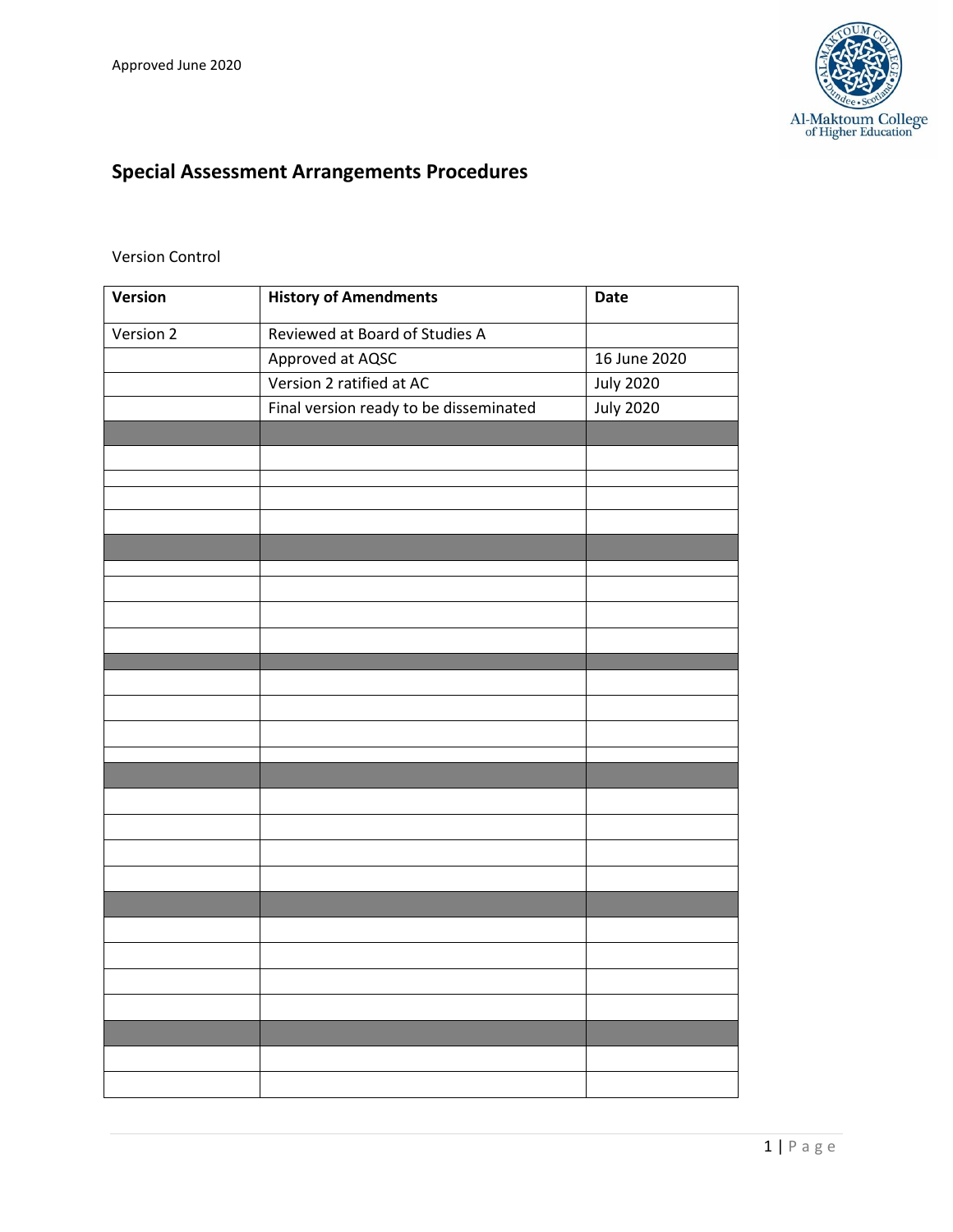

# **Special Assessment Arrangements Procedures**

### Version Control

| Version   | <b>History of Amendments</b>           | <b>Date</b>      |
|-----------|----------------------------------------|------------------|
| Version 2 | Reviewed at Board of Studies A         |                  |
|           | Approved at AQSC                       | 16 June 2020     |
|           | Version 2 ratified at AC               | <b>July 2020</b> |
|           | Final version ready to be disseminated | <b>July 2020</b> |
|           |                                        |                  |
|           |                                        |                  |
|           |                                        |                  |
|           |                                        |                  |
|           |                                        |                  |
|           |                                        |                  |
|           |                                        |                  |
|           |                                        |                  |
|           |                                        |                  |
|           |                                        |                  |
|           |                                        |                  |
|           |                                        |                  |
|           |                                        |                  |
|           |                                        |                  |
|           |                                        |                  |
|           |                                        |                  |
|           |                                        |                  |
|           |                                        |                  |
|           |                                        |                  |
|           |                                        |                  |
|           |                                        |                  |
|           |                                        |                  |
|           |                                        |                  |
|           |                                        |                  |
|           |                                        |                  |
|           |                                        |                  |
|           |                                        |                  |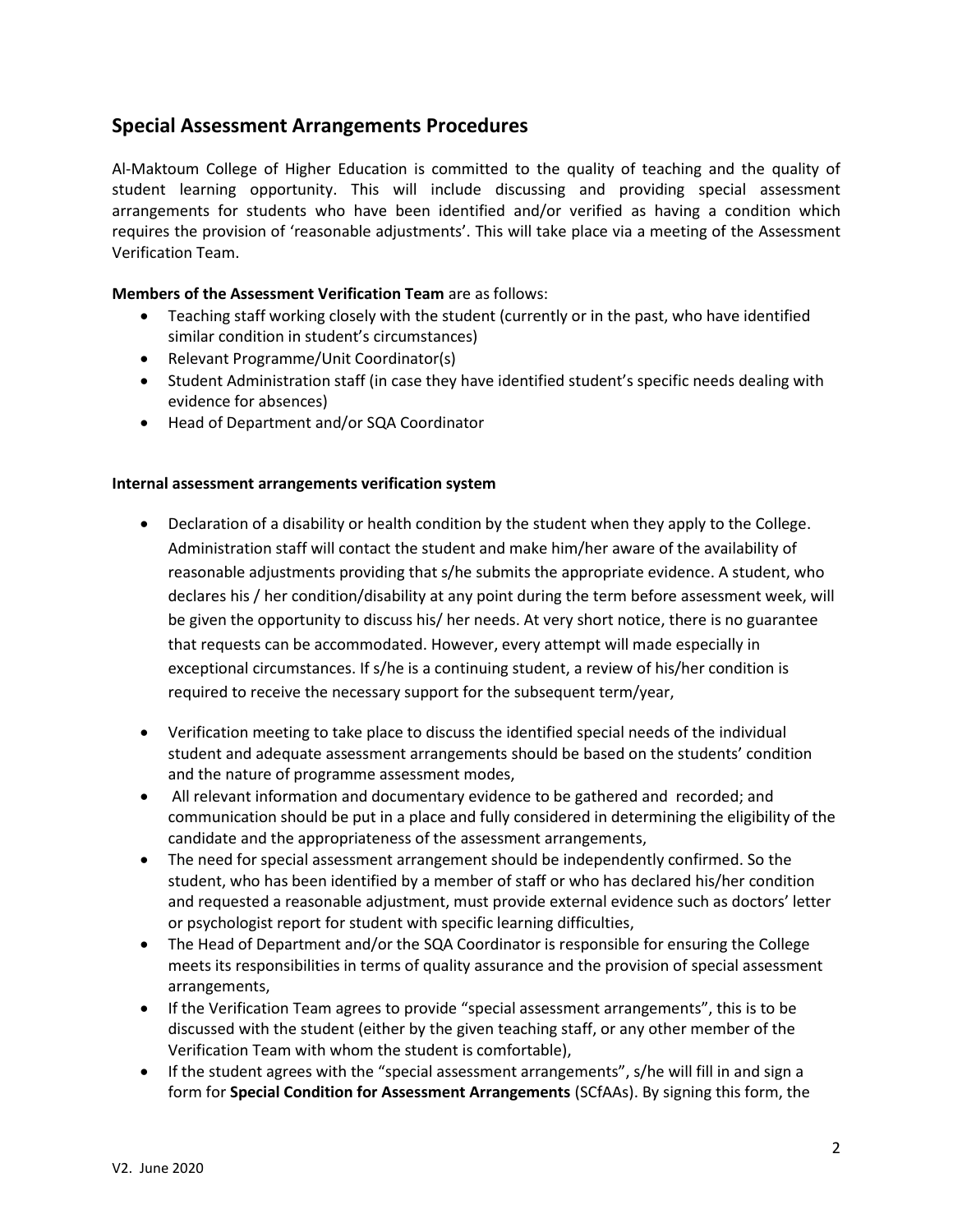## **Special Assessment Arrangements Procedures**

Al-Maktoum College of Higher Education is committed to the quality of teaching and the quality of student learning opportunity. This will include discussing and providing special assessment arrangements for students who have been identified and/or verified as having a condition which requires the provision of 'reasonable adjustments'. This will take place via a meeting of the Assessment Verification Team.

#### **Members of the Assessment Verification Team** are as follows:

- Teaching staff working closely with the student (currently or in the past, who have identified similar condition in student's circumstances)
- Relevant Programme/Unit Coordinator(s)
- Student Administration staff (in case they have identified student's specific needs dealing with evidence for absences)
- Head of Department and/or SQA Coordinator

#### **Internal assessment arrangements verification system**

- Declaration of a disability or health condition by the student when they apply to the College. Administration staff will contact the student and make him/her aware of the availability of reasonable adjustments providing that s/he submits the appropriate evidence. A student, who declares his / her condition/disability at any point during the term before assessment week, will be given the opportunity to discuss his/ her needs. At very short notice, there is no guarantee that requests can be accommodated. However, every attempt will made especially in exceptional circumstances. If s/he is a continuing student, a review of his/her condition is required to receive the necessary support for the subsequent term/year,
- Verification meeting to take place to discuss the identified special needs of the individual student and adequate assessment arrangements should be based on the students' condition and the nature of programme assessment modes,
- All relevant information and documentary evidence to be gathered and recorded; and communication should be put in a place and fully considered in determining the eligibility of the candidate and the appropriateness of the assessment arrangements,
- The need for special assessment arrangement should be independently confirmed. So the student, who has been identified by a member of staff or who has declared his/her condition and requested a reasonable adjustment, must provide external evidence such as doctors' letter or psychologist report for student with specific learning difficulties,
- The Head of Department and/or the SQA Coordinator is responsible for ensuring the College meets its responsibilities in terms of quality assurance and the provision of special assessment arrangements,
- If the Verification Team agrees to provide "special assessment arrangements", this is to be discussed with the student (either by the given teaching staff, or any other member of the Verification Team with whom the student is comfortable),
- If the student agrees with the "special assessment arrangements", s/he will fill in and sign a form for **Special Condition for Assessment Arrangements** (SCfAAs). By signing this form, the